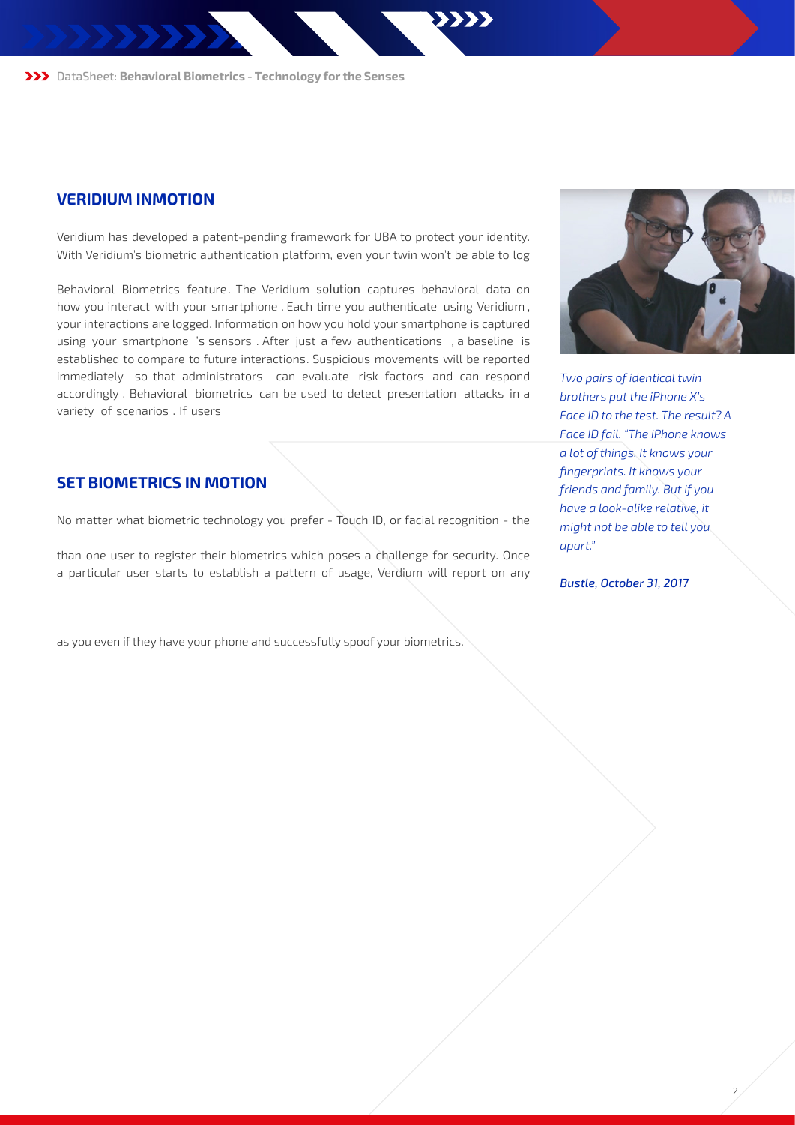DataSheet: **Behavioral Biometrics - Technology for the Senses**

### **VERIDIUM INMOTION**

Veridium has developed a patent-pending framework for UBA to protect your identity. With Veridium's biometric authentication platform, even your twin won't be able to log in using "your face." Spoofing someone's biometrics is harder with Veridium InMotion Behavioral Biometrics feature. The Veridium solution captures behavioral data on how you interact with your smartphone . Each time you authenticate using Veridium , your interactions are logged. Information on how you hold your smartphone is captured using your smartphone 's sensors . After just a few authentications , a baseline is established to compare to future interactions. Suspicious movements will be reported immediately so that administrators can evaluate risk factors and can respond accordingly . Behavioral biometrics can be used to detect presentation attacks in a variety of scenarios . If users are unlucky enough to have their Touch ID fingerprint spoofed, Veridium can detect dif erences in usage patterns to spot imposters and stop them "in motion."

## **SET BIOMETRICS IN MOTION**

No matter what biometric technology you prefer - Touch ID, or facial recognition - the Veridium mobile app adds an additional layer of security. Many phones allow more than one user to register their biometrics which poses a challenge for security. Once a particular user starts to establish a pattern of usage, Verdium will report on any significant differences. Veridium is biometric agnostic. The UBA capability increases the reliability of all native biometrics for authentication. Mimicking a person's mannerism is dif cult so Veridum's UBA feature reduces the probability that someone can masquerade as you even if they have your phone and successfully spoof your biometrics.



*Two pairs of identical twin brothers put the iPhone X's Face ID to the test. The result? A Face ID fail. "The iPhone knows a lot of things. It knows your fingerprints. It knows your friends and family. But if you have a look-alike relative, it might not be able to tell you apart."*

*Bustle, October 31, 2017*